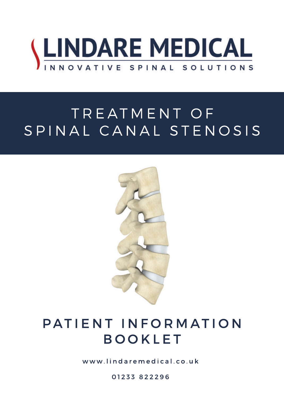

# TREATMENT OF SPINAL CANAL STENOSIS



## PATIENT INFORMATION BOOKLET

www.lindarem edical.co.uk

01233 822296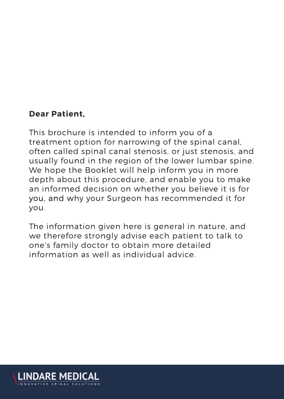#### **Dear Patient.**

This brochure is intended to inform you of a treatment option for narrowing of the spinal canal. often called spinal canal stenosis, or just stenosis, and usually found in the region of the lower lumbar spine. We hope the Booklet will help inform you in more depth about this procedure, and enable you to make an informed decision on whether you believe it is for you, and why your Surgeon has recommended it for vou.

The information given here is general in nature, and we therefore strongly advise each patient to talk to one's family doctor to obtain more detailed information as well as individual advice.

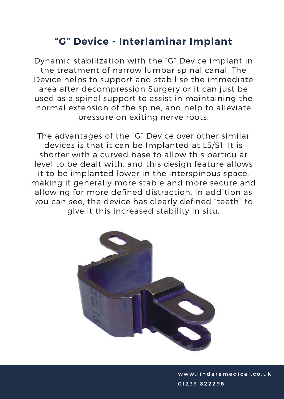## "G" Device - Interlaminar Implant

Dynamic stabilization with the "G" Device implant in the treatment of narrow lumbar spinal canal: The Device helps to support and stabilise the immediate area after decompression Surgery or it can just be used as a spinal support to assist in maintaining the normal extension of the spine, and help to alleviate pressure on exiting nerve roots.

The advantages of the "G" Device over other similar devices is that it can be Implanted at L5/S1. It is shorter with a curved base to allow this particular level to be dealt with, and this design feature allows it to be implanted lower in the interspinous space, making it generally more stable and more secure and allowing for more defined distraction. In addition as you can see, the device has clearly defined "teeth" to give it this increased stability in situ.

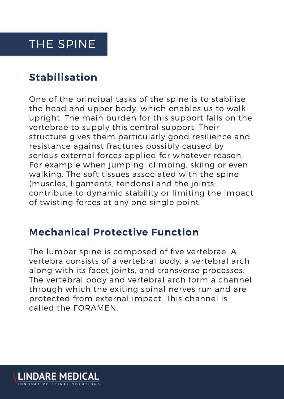## THE SPINE

## **Stabilisation**

One of the principal tasks of the spine is to stabilise the head and upper body, which enables us to walk upright. The main burden for this support falls on the vertebrae to supply this central support. Their structure gives them particularly good resilience and resistance against fractures possibly caused by serious external forces applied for whatever reason. For example when jumping, climbing, skiing or even walking. The soft tissues associated with the spine (muscles, ligaments, tendons) and the joints; contribute to dynamic stability or limiting the impact of twisting forces at any one single point.

## **Mechanical Protective Function**

The lumbar spine is composed of five vertebrae. A vertebra consists of a vertebral body, a vertebral arch along with its facet joints, and transverse processes. The vertebral body and vertebral arch form a channel through which the exiting spinal nerves run and are protected from external impact. This channel is called the FORAMEN.

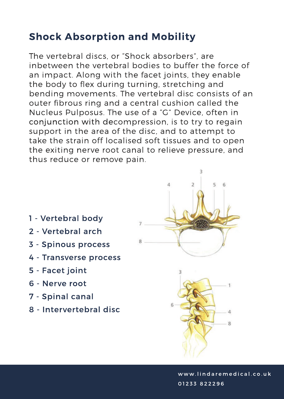## **Shock Absorption and Mobility**

The vertebral discs, or "Shock absorbers", are inbetween the vertebral bodies to buffer the force of an impact. Along with the facet joints, they enable the body to flex during turning, stretching and bending movements. The vertebral disc consists of an outer fibrous ring and a central cushion called the Nucleus Pulposus. The use of a "G" Device, often in conjunction with decompression, is to try to regain support in the area of the disc, and to attempt to take the strain off localised soft tissues and to open the exiting nerve root canal to relieve pressure, and thus reduce or remove pain.

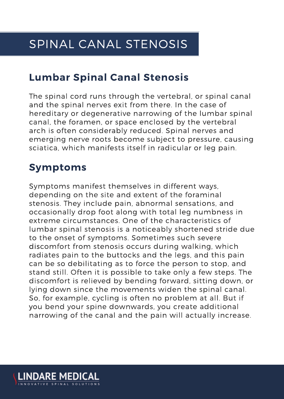## **Lumbar Spinal Canal Stenosis**

The spinal cord runs through the vertebral, or spinal canal and the spinal nerves exit from there. In the case of hereditary or degenerative narrowing of the lumbar spinal canal, the foramen, or space enclosed by the vertebral arch is often considerably reduced. Spinal nerves and emerging nerve roots become subject to pressure, causing sciatica, which manifests itself in radicular or leg pain.

## **Symptoms**

Symptoms manifest themselves in different ways, depending on the site and extent of the foraminal stenosis. They include pain, abnormal sensations, and occasionally drop foot along with total leg numbness in extreme circumstances. One of the characteristics of lumbar spinal stenosis is a noticeably shortened stride due to the onset of symptoms. Sometimes such severe discomfort from stenosis occurs during walking, which radiates pain to the buttocks and the legs, and this pain can be so debilitating as to force the person to stop, and stand still. Often it is possible to take only a few steps. The discomfort is relieved by bending forward, sitting down, or lying down since the movements widen the spinal canal. So, for example, cycling is often no problem at all. But if you bend your spine downwards, you create additional narrowing of the canal and the pain will actually increase.

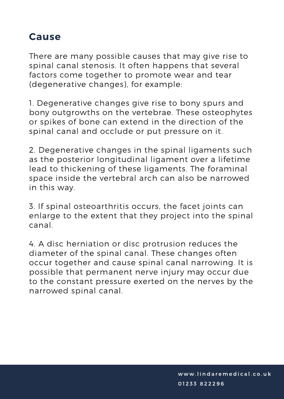## **Cause**

There are many possible causes that may give rise to spinal canal stenosis. It often happens that several factors come together to promote wear and tear (degenerative changes), for example:

1. Degenerative changes give rise to bony spurs and bony outgrowths on the vertebrae. These osteophytes or spikes of bone can extend in the direction of the spinal canal and occlude or put pressure on it.

2. Degenerative changes in the spinal ligaments such as the posterior longitudinal ligament over a lifetime lead to thickening of these ligaments. The foraminal space inside the vertebral arch can also be narrowed in this way.

3. If spinal osteoarthritis occurs, the facet joints can enlarge to the extent that they project into the spinal canal

4. A disc herniation or disc protrusion reduces the diameter of the spinal canal. These changes often occur together and cause spinal canal narrowing. It is possible that permanent nerve injury may occur due to the constant pressure exerted on the nerves by the narrowed spinal canal.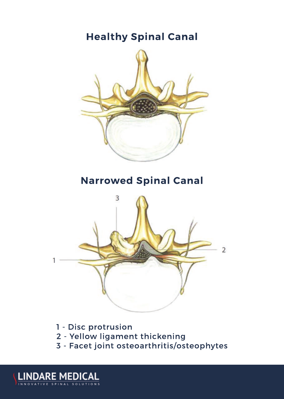

- 1 Disc protrusion
- 2 Yellow ligament thickening
- 3 Facet joint osteoarthritis/osteophytes

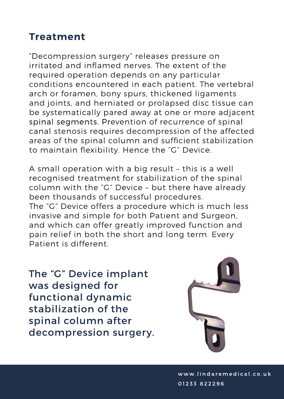## **Treatment**

"Decompression surgery" releases pressure on irritated and inflamed nerves. The extent of the required operation depends on any particular conditions encountered in each patient. The vertebral arch or foramen, bony spurs, thickened ligaments and joints, and herniated or prolapsed disc tissue can be systematically pared away at one or more adjacent spinal segments. Prevention of recurrence of spinal canal stenosis requires decompression of the affected areas of the spinal column and sufficient stabilization to maintain flexibility. Hence the "G" Device.

A small operation with a big result - this is a well recognised treatment for stabilization of the spinal column with the "G" Device - but there have already been thousands of successful procedures. The "G" Device offers a procedure which is much less invasive and simple for both Patient and Surgeon. and which can offer greatly improved function and pain relief in both the short and long term. Every Patient is different

The "G" Device implant was designed for functional dynamic stabilization of the spinal column after decompression surgery.

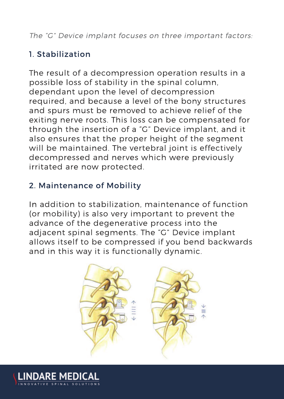The "G" Device implant focuses on three important factors:

#### 1. Stabilization

The result of a decompression operation results in a possible loss of stability in the spinal column. dependant upon the level of decompression required, and because a level of the bony structures and spurs must be removed to achieve relief of the exiting nerve roots. This loss can be compensated for through the insertion of a "G" Device implant, and it also ensures that the proper height of the segment will be maintained. The vertebral joint is effectively decompressed and nerves which were previously irritated are now protected.

#### 2. Maintenance of Mobility

In addition to stabilization, maintenance of function (or mobility) is also very important to prevent the advance of the degenerative process into the adjacent spinal segments. The "G" Device implant allows itself to be compressed if you bend backwards and in this way it is functionally dynamic.



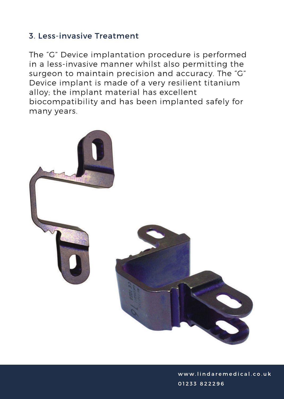#### 3. Less-invasive Treatment

The "G" Device implantation procedure is performed in a less-invasive manner whilst also permitting the surgeon to maintain precision and accuracy. The "G" Device implant is made of a very resilient titanium alloy; the implant material has excellent biocompatibility and has been implanted safely for many years.

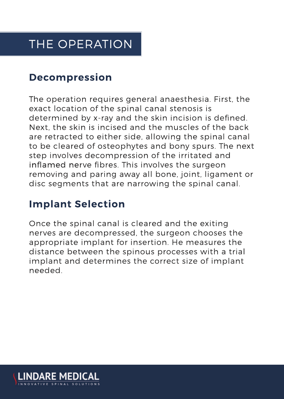## THE OPERATION

### **Decompression**

The operation requires general anaesthesia. First, the exact location of the spinal canal stenosis is determined by x-ray and the skin incision is defined. Next, the skin is incised and the muscles of the back are retracted to either side, allowing the spinal canal to be cleared of osteophytes and bony spurs. The next step involves decompression of the irritated and inflamed nerve fibres. This involves the surgeon removing and paring away all bone, joint, ligament or disc segments that are narrowing the spinal canal.

## **Implant Selection**

Once the spinal canal is cleared and the exiting nerves are decompressed, the surgeon chooses the appropriate implant for insertion. He measures the distance between the spinous processes with a trial implant and determines the correct size of implant needed.

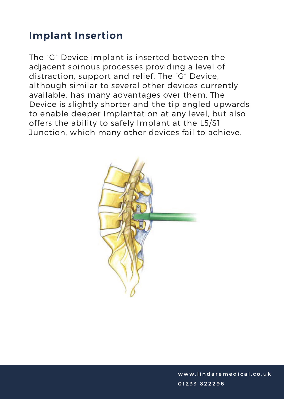## **Implant Insertion**

The "G" Device implant is inserted between the adiacent spinous processes providing a level of distraction, support and relief. The "G" Device, although similar to several other devices currently available, has many advantages over them. The Device is slightly shorter and the tip angled upwards to enable deeper Implantation at any level, but also offers the ability to safely Implant at the L5/S1 Junction, which many other devices fail to achieve.

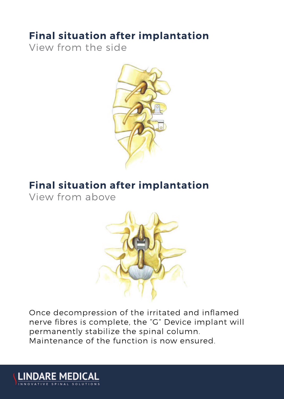## **Final situation after implantation**

View from the side



## **Final situation after implantation**

View from above

**LINDARE MEDICAL** 



Once decompression of the irritated and inflamed nerve fibres is complete, the "G" Device implant will permanently stabilize the spinal column. Maintenance of the function is now ensured.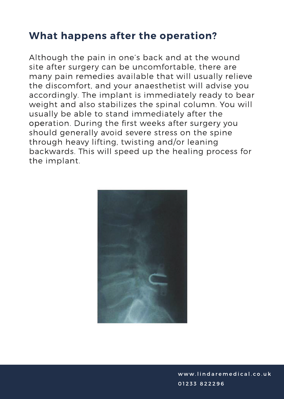## **What happens after the operation?**

Although the pain in one's back and at the wound site after surgery can be uncomfortable, there are many pain remedies available that will usually relieve the discomfort, and your anaesthetist will advise you accordingly. The implant is immediately ready to bear weight and also stabilizes the spinal column. You will usually be able to stand immediately after the operation. During the first weeks after surgery you should generally avoid severe stress on the spine through heavy lifting, twisting and/or leaning backwards. This will speed up the healing process for the implant.